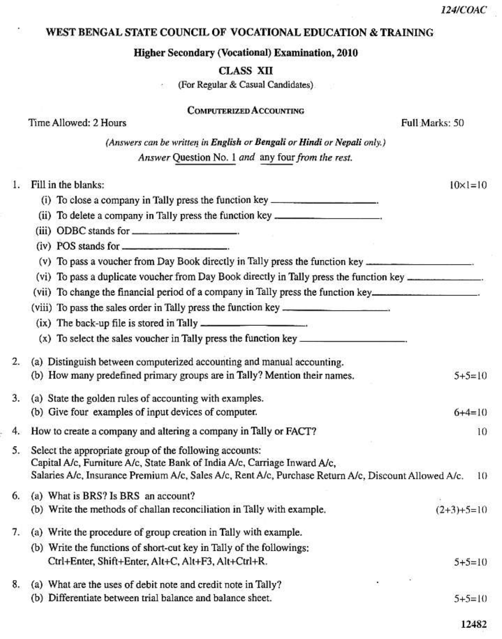## WEST BENGAL STATE COUNCIL OF VOCATIONAL EDUCATION & TRAINING

ż

## **Higher Secondary (Vocational) Examination, 2010**

CLASS XII

(For Regular & Casual Candidates) etc.

| <b>COMPUTERIZED ACCOUNTING</b> |  |
|--------------------------------|--|
|--------------------------------|--|

|    | Time Allowed: 2 Hours                                                                                  | Full Marks: 50     |
|----|--------------------------------------------------------------------------------------------------------|--------------------|
|    | (Answers can be written in English or Bengali or Hindi or Nepali only.)                                |                    |
|    | Answer Question No. 1 and any four from the rest.                                                      |                    |
|    | 1. Fill in the blanks:                                                                                 | $10 \times 1 = 10$ |
|    | (i) To close a company in Tally press the function key _________________________                       |                    |
|    | (ii) To delete a company in Tally press the function key _______________________                       |                    |
|    |                                                                                                        |                    |
|    |                                                                                                        |                    |
|    | (v) To pass a voucher from Day Book directly in Tally press the function key _______________________   |                    |
|    | (vi) To pass a duplicate voucher from Day Book directly in Tally press the function key _____________. |                    |
|    | (vii) To change the financial period of a company in Tally press the function key___________________   |                    |
|    | (viii) To pass the sales order in Tally press the function key __________________                      |                    |
|    | (ix) The back-up file is stored in Tally ________________________.                                     |                    |
|    | (x) To select the sales voucher in Tally press the function key _________________                      |                    |
| 2. | (a) Distinguish between computerized accounting and manual accounting.                                 |                    |
|    | (b) How many predefined primary groups are in Tally? Mention their names.                              | $5+5=10$           |
| 3. | (a) State the golden rules of accounting with examples.                                                |                    |
|    | (b) Give four examples of input devices of computer.                                                   | $6+4=10$           |
|    | 4. How to create a company and altering a company in Tally or FACT?                                    | 10                 |
| 5. | Select the appropriate group of the following accounts:                                                |                    |
|    | Capital A/c, Furniture A/c, State Bank of India A/c, Carriage Inward A/c,                              |                    |
|    | Salaries A/c, Insurance Premium A/c, Sales A/c, Rent A/c, Purchase Return A/c, Discount Allowed A/c.   | 10                 |
|    | 6. (a) What is BRS? Is BRS an account?                                                                 |                    |
|    | (b) Write the methods of challan reconciliation in Tally with example.                                 | $(2+3)+5=10$       |
| 7. | (a) Write the procedure of group creation in Tally with example.                                       |                    |
|    | (b) Write the functions of short-cut key in Tally of the followings:                                   |                    |
|    | Ctrl+Enter, Shift+Enter, Alt+C, Alt+F3, Alt+Ctrl+R.                                                    | $5+5=10$           |
| 8. | (a) What are the uses of debit note and credit note in Tally?                                          |                    |
|    | (b) Differentiate between trial balance and balance sheet.                                             | $5+5=10$           |

12482